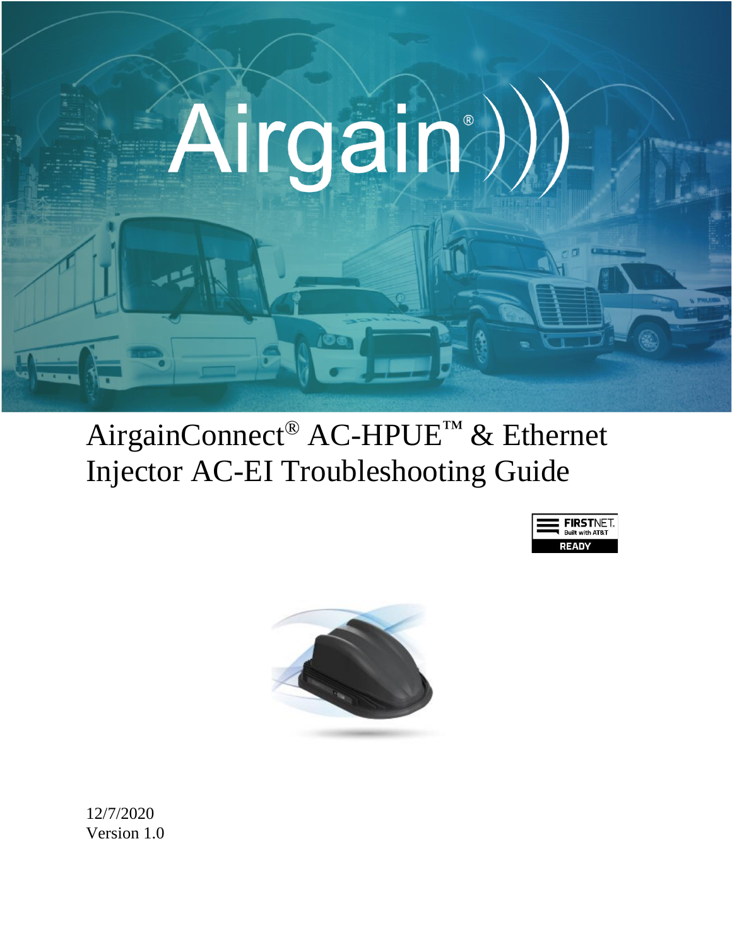

# AirgainConnect® AC-HPUE™ & Ethernet Injector AC-EI Troubleshooting Guide





12/7/2020 Version 1.0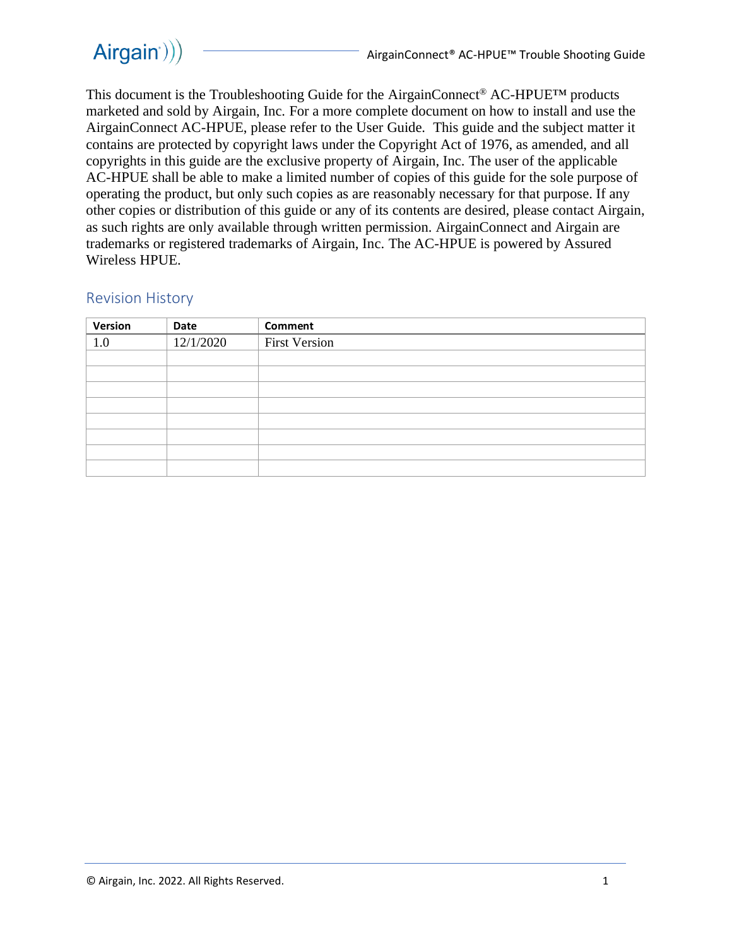

This document is the Troubleshooting Guide for the AirgainConnect® AC-HPUE™ products marketed and sold by Airgain, Inc. For a more complete document on how to install and use the AirgainConnect AC-HPUE, please refer to the User Guide. This guide and the subject matter it contains are protected by copyright laws under the Copyright Act of 1976, as amended, and all copyrights in this guide are the exclusive property of Airgain, Inc. The user of the applicable AC-HPUE shall be able to make a limited number of copies of this guide for the sole purpose of operating the product, but only such copies as are reasonably necessary for that purpose. If any other copies or distribution of this guide or any of its contents are desired, please contact Airgain, as such rights are only available through written permission. AirgainConnect and Airgain are trademarks or registered trademarks of Airgain, Inc. The AC-HPUE is powered by Assured Wireless HPUE.

#### Revision History

| Version | Date      | Comment              |
|---------|-----------|----------------------|
| 1.0     | 12/1/2020 | <b>First Version</b> |
|         |           |                      |
|         |           |                      |
|         |           |                      |
|         |           |                      |
|         |           |                      |
|         |           |                      |
|         |           |                      |
|         |           |                      |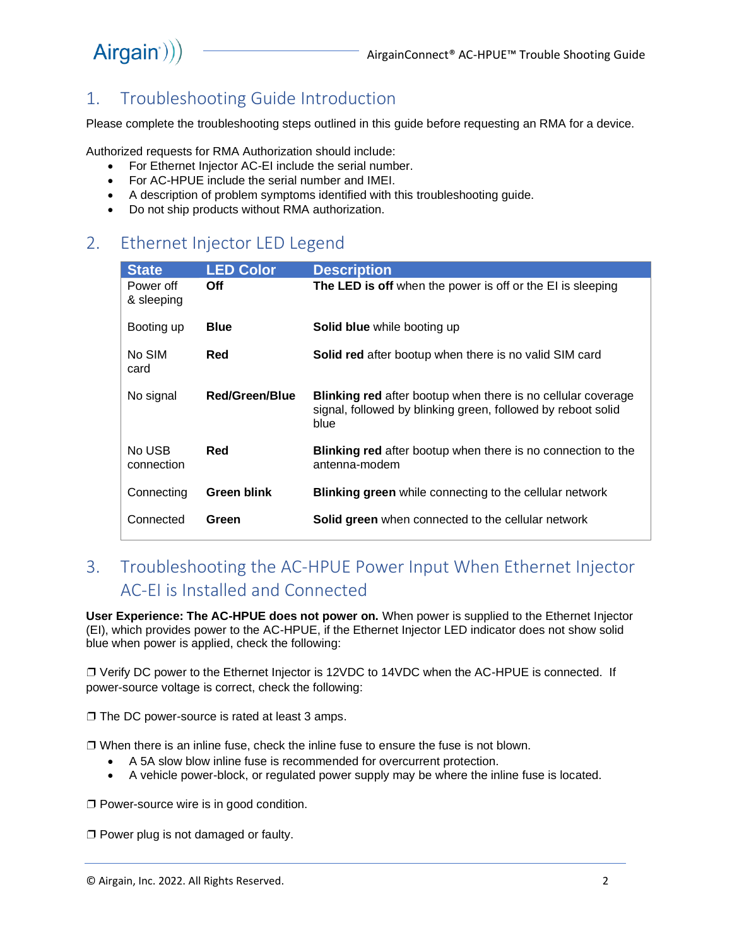## Airgain<sup>()</sup>)

### 1. Troubleshooting Guide Introduction

Please complete the troubleshooting steps outlined in this guide before requesting an RMA for a device.

Authorized requests for RMA Authorization should include:

- For Ethernet Injector AC-EI include the serial number.
- For AC-HPUE include the serial number and IMEI.
- A description of problem symptoms identified with this troubleshooting guide.
- Do not ship products without RMA authorization.

### 2. Ethernet Injector LED Legend

| <b>State</b>            | <b>LED Color</b>   | <b>Description</b>                                                                                                                          |
|-------------------------|--------------------|---------------------------------------------------------------------------------------------------------------------------------------------|
| Power off<br>& sleeping | Off                | The LED is off when the power is off or the EI is sleeping                                                                                  |
| Booting up              | <b>Blue</b>        | <b>Solid blue</b> while booting up                                                                                                          |
| No SIM<br>card          | Red                | Solid red after bootup when there is no valid SIM card                                                                                      |
| No signal               | Red/Green/Blue     | <b>Blinking red</b> after bootup when there is no cellular coverage<br>signal, followed by blinking green, followed by reboot solid<br>blue |
| No USB<br>connection    | Red                | <b>Blinking red</b> after bootup when there is no connection to the<br>antenna-modem                                                        |
| Connecting              | <b>Green blink</b> | <b>Blinking green</b> while connecting to the cellular network                                                                              |
| Connected               | Green              | <b>Solid green</b> when connected to the cellular network                                                                                   |

### 3. Troubleshooting the AC-HPUE Power Input When Ethernet Injector AC-EI is Installed and Connected

**User Experience: The AC-HPUE does not power on.** When power is supplied to the Ethernet Injector (EI), which provides power to the AC-HPUE, if the Ethernet Injector LED indicator does not show solid blue when power is applied, check the following:

❐ Verify DC power to the Ethernet Injector is 12VDC to 14VDC when the AC-HPUE is connected. If power-source voltage is correct, check the following:

❐ The DC power-source is rated at least 3 amps.

 $\Box$  When there is an inline fuse, check the inline fuse to ensure the fuse is not blown.

- A 5A slow blow inline fuse is recommended for overcurrent protection.
- A vehicle power-block, or regulated power supply may be where the inline fuse is located.

❐ Power-source wire is in good condition.

❐ Power plug is not damaged or faulty.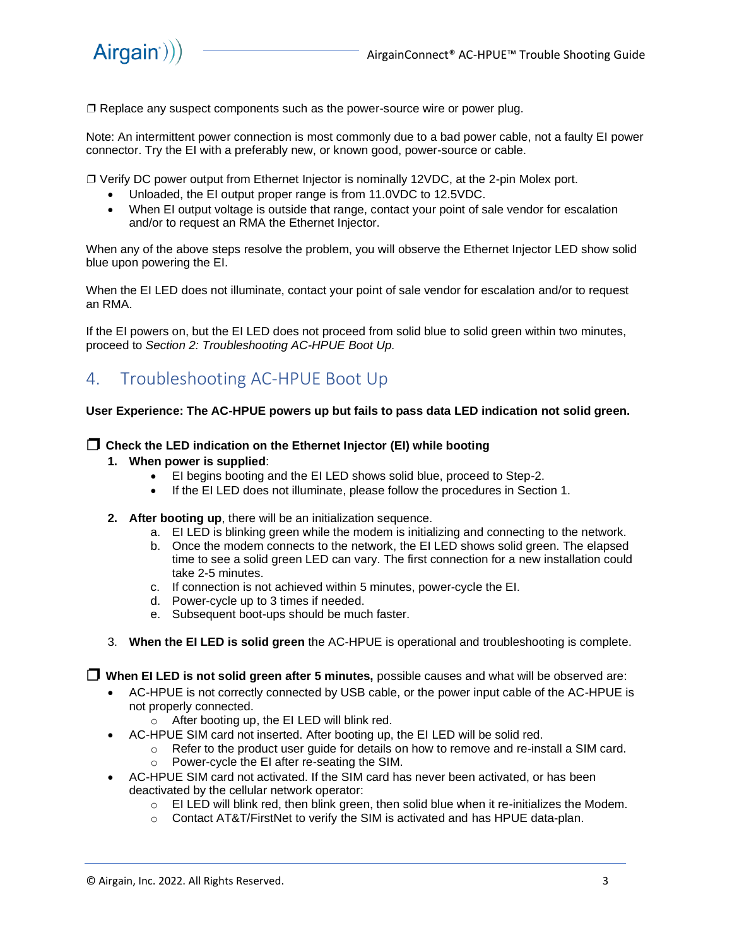□ Replace any suspect components such as the power-source wire or power plug.

Note: An intermittent power connection is most commonly due to a bad power cable, not a faulty EI power connector. Try the EI with a preferably new, or known good, power-source or cable.

❐ Verify DC power output from Ethernet Injector is nominally 12VDC, at the 2-pin Molex port.

- Unloaded, the EI output proper range is from 11.0VDC to 12.5VDC.
- When EI output voltage is outside that range, contact your point of sale vendor for escalation and/or to request an RMA the Ethernet Injector.

When any of the above steps resolve the problem, you will observe the Ethernet Injector LED show solid blue upon powering the EI.

When the EI LED does not illuminate, contact your point of sale vendor for escalation and/or to request an RMA.

If the EI powers on, but the EI LED does not proceed from solid blue to solid green within two minutes, proceed to *Section 2: Troubleshooting AC-HPUE Boot Up.*

### 4. Troubleshooting AC-HPUE Boot Up

#### **User Experience: The AC-HPUE powers up but fails to pass data LED indication not solid green.**

#### ❐ **Check the LED indication on the Ethernet Injector (EI) while booting**

- **1. When power is supplied**:
	- EI begins booting and the EI LED shows solid blue, proceed to Step-2.
	- If the EI LED does not illuminate, please follow the procedures in Section 1.
- **2. After booting up**, there will be an initialization sequence.
	- a. EI LED is blinking green while the modem is initializing and connecting to the network.
	- b. Once the modem connects to the network, the EI LED shows solid green. The elapsed time to see a solid green LED can vary. The first connection for a new installation could take 2-5 minutes.
	- c. If connection is not achieved within 5 minutes, power-cycle the EI.
	- d. Power-cycle up to 3 times if needed.
	- e. Subsequent boot-ups should be much faster.
- 3. **When the EI LED is solid green** the AC-HPUE is operational and troubleshooting is complete.

❐ **When EI LED is not solid green after 5 minutes,** possible causes and what will be observed are:

- AC-HPUE is not correctly connected by USB cable, or the power input cable of the AC-HPUE is not properly connected.
	- o After booting up, the EI LED will blink red.
- AC-HPUE SIM card not inserted. After booting up, the EI LED will be solid red.
	- $\circ$  Refer to the product user guide for details on how to remove and re-install a SIM card.
		- o Power-cycle the EI after re-seating the SIM.
- AC-HPUE SIM card not activated. If the SIM card has never been activated, or has been deactivated by the cellular network operator:
	- $\circ$  EI LED will blink red, then blink green, then solid blue when it re-initializes the Modem.
	- o Contact AT&T/FirstNet to verify the SIM is activated and has HPUE data-plan.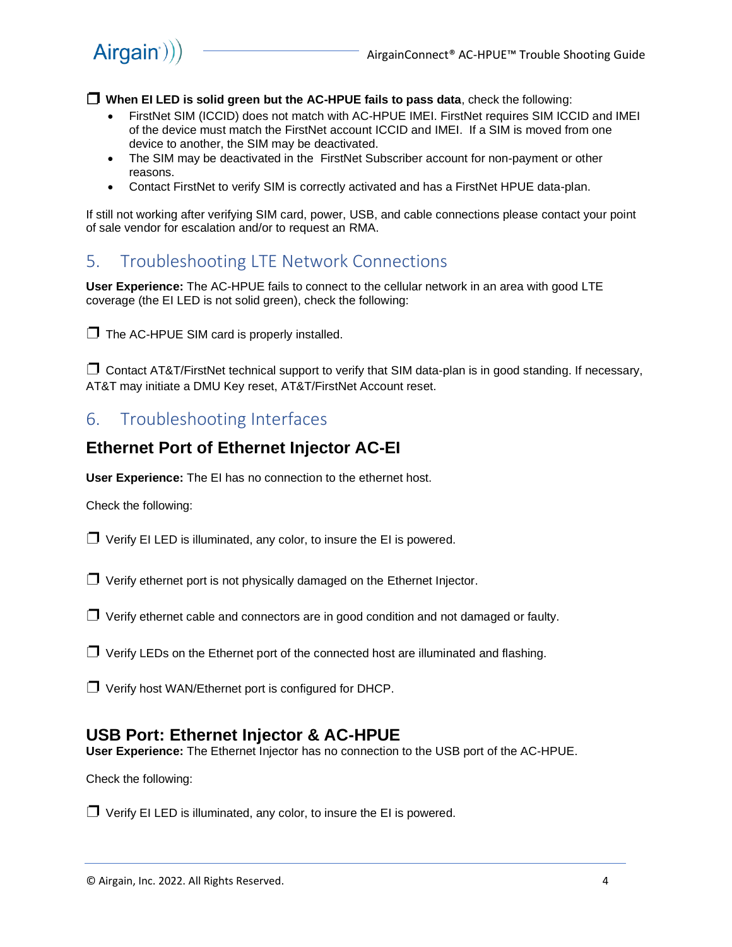$Airgain$ ))

❐ **When EI LED is solid green but the AC-HPUE fails to pass data**, check the following:

- FirstNet SIM (ICCID) does not match with AC-HPUE IMEI. FirstNet requires SIM ICCID and IMEI of the device must match the FirstNet account ICCID and IMEI. If a SIM is moved from one device to another, the SIM may be deactivated.
- The SIM may be deactivated in the FirstNet Subscriber account for non-payment or other reasons.
- Contact FirstNet to verify SIM is correctly activated and has a FirstNet HPUE data-plan.

If still not working after verifying SIM card, power, USB, and cable connections please contact your point of sale vendor for escalation and/or to request an RMA.

### 5. Troubleshooting LTE Network Connections

**User Experience:** The AC-HPUE fails to connect to the cellular network in an area with good LTE coverage (the EI LED is not solid green), check the following:

 $\Box$  The AC-HPUE SIM card is properly installed.

 $\Box$  Contact AT&T/FirstNet technical support to verify that SIM data-plan is in good standing. If necessary, AT&T may initiate a DMU Key reset, AT&T/FirstNet Account reset.

### 6. Troubleshooting Interfaces

### **Ethernet Port of Ethernet Injector AC-EI**

**User Experience:** The EI has no connection to the ethernet host.

Check the following:

 $\Box$  Verify EI LED is illuminated, any color, to insure the EI is powered.

 $\Box$  Verify ethernet port is not physically damaged on the Ethernet Injector.

 $\Box$  Verify ethernet cable and connectors are in good condition and not damaged or faulty.

 $\Box$  Verify LEDs on the Ethernet port of the connected host are illuminated and flashing.

 $\Box$  Verify host WAN/Ethernet port is configured for DHCP.

### **USB Port: Ethernet Injector & AC-HPUE**

**User Experience:** The Ethernet Injector has no connection to the USB port of the AC-HPUE.

Check the following:

 $\Box$  Verify EI LED is illuminated, any color, to insure the EI is powered.